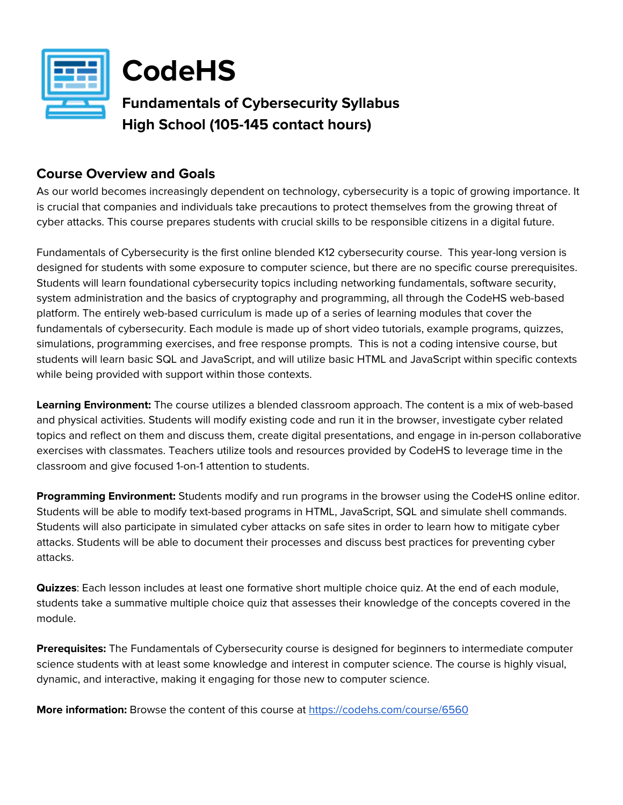

**CodeHS**

**Fundamentals of Cybersecurity Syllabus High School (105-145 contact hours)**

## **Course Overview and Goals**

As our world becomes increasingly dependent on technology, cybersecurity is a topic of growing importance. It is crucial that companies and individuals take precautions to protect themselves from the growing threat of cyber attacks. This course prepares students with crucial skills to be responsible citizens in a digital future.

Fundamentals of Cybersecurity is the first online blended K12 cybersecurity course. This year-long version is designed for students with some exposure to computer science, but there are no specific course prerequisites. Students will learn foundational cybersecurity topics including networking fundamentals, software security, system administration and the basics of cryptography and programming, all through the CodeHS web-based platform. The entirely web-based curriculum is made up of a series of learning modules that cover the fundamentals of cybersecurity. Each module is made up of short video tutorials, example programs, quizzes, simulations, programming exercises, and free response prompts. This is not a coding intensive course, but students will learn basic SQL and JavaScript, and will utilize basic HTML and JavaScript within specific contexts while being provided with support within those contexts.

**Learning Environment:** The course utilizes a blended classroom approach. The content is a mix of web-based and physical activities. Students will modify existing code and run it in the browser, investigate cyber related topics and reflect on them and discuss them, create digital presentations, and engage in in-person collaborative exercises with classmates. Teachers utilize tools and resources provided by CodeHS to leverage time in the classroom and give focused 1-on-1 attention to students.

**Programming Environment:** Students modify and run programs in the browser using the CodeHS online editor. Students will be able to modify text-based programs in HTML, JavaScript, SQL and simulate shell commands. Students will also participate in simulated cyber attacks on safe sites in order to learn how to mitigate cyber attacks. Students will be able to document their processes and discuss best practices for preventing cyber attacks.

**Quizzes**: Each lesson includes at least one formative short multiple choice quiz. At the end of each module, students take a summative multiple choice quiz that assesses their knowledge of the concepts covered in the module.

**Prerequisites:** The Fundamentals of Cybersecurity course is designed for beginners to intermediate computer science students with at least some knowledge and interest in computer science. The course is highly visual, dynamic, and interactive, making it engaging for those new to computer science.

**More information:** Browse the content of this course at <https://codehs.com/course/6560>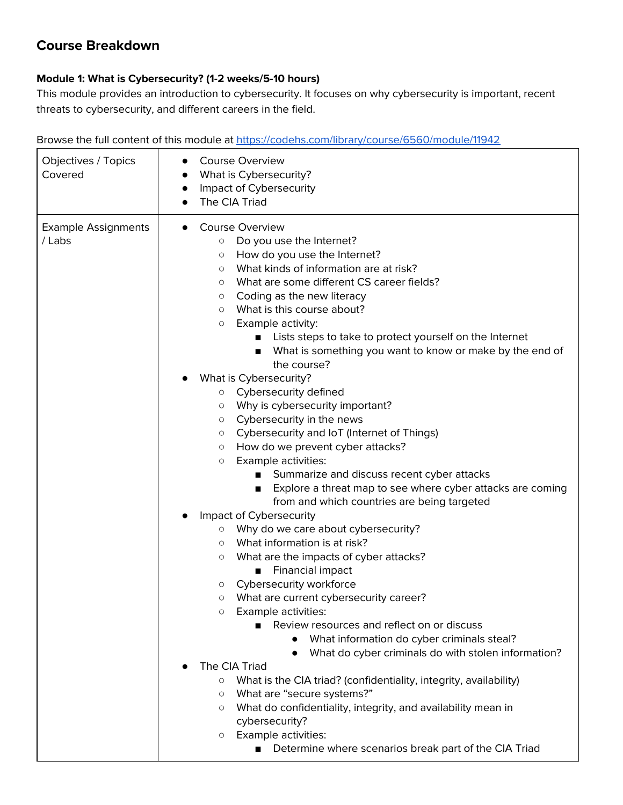# **Course Breakdown**

#### **Module 1: What is Cybersecurity? (1-2 weeks/5-10 hours)**

This module provides an introduction to cybersecurity. It focuses on why cybersecurity is important, recent threats to cybersecurity, and different careers in the field.

| Objectives / Topics<br>Covered       | <b>Course Overview</b><br>What is Cybersecurity?<br>Impact of Cybersecurity<br>$\bullet$<br>The CIA Triad                                                                                                                                                                                                                                                                                                                                                                                        |
|--------------------------------------|--------------------------------------------------------------------------------------------------------------------------------------------------------------------------------------------------------------------------------------------------------------------------------------------------------------------------------------------------------------------------------------------------------------------------------------------------------------------------------------------------|
| <b>Example Assignments</b><br>/ Labs | Course Overview<br>$\bullet$<br>Do you use the Internet?<br>$\circ$<br>How do you use the Internet?<br>O<br>What kinds of information are at risk?<br>$\circ$<br>What are some different CS career fields?<br>$\circ$<br>Coding as the new literacy<br>O<br>What is this course about?<br>$\circ$<br>Example activity:<br>О<br>Lists steps to take to protect yourself on the Internet<br>What is something you want to know or make by the end of<br>■<br>the course?<br>What is Cybersecurity? |
|                                      | o Cybersecurity defined<br>Why is cybersecurity important?<br>О<br>Cybersecurity in the news<br>О<br>Cybersecurity and IoT (Internet of Things)<br>$\circ$<br>How do we prevent cyber attacks?<br>$\circ$<br>Example activities:<br>O<br>Summarize and discuss recent cyber attacks<br>Explore a threat map to see where cyber attacks are coming<br>п<br>from and which countries are being targeted                                                                                            |
|                                      | Impact of Cybersecurity<br>Why do we care about cybersecurity?<br>$\circ$<br>What information is at risk?<br>$\circ$<br>What are the impacts of cyber attacks?<br>О<br>Financial impact<br>Cybersecurity workforce<br>О<br>What are current cybersecurity career?<br>$\circ$<br>Example activities:<br>$\circ$<br>Review resources and reflect on or discuss<br>What information do cyber criminals steal?<br>What do cyber criminals do with stolen information?<br>$\bullet$                   |
|                                      | The CIA Triad<br>What is the CIA triad? (confidentiality, integrity, availability)<br>$\circ$<br>What are "secure systems?"<br>$\circ$<br>What do confidentiality, integrity, and availability mean in<br>$\circ$<br>cybersecurity?<br>Example activities:<br>O<br>Determine where scenarios break part of the CIA Triad<br>$\mathcal{L}^{\text{max}}$                                                                                                                                           |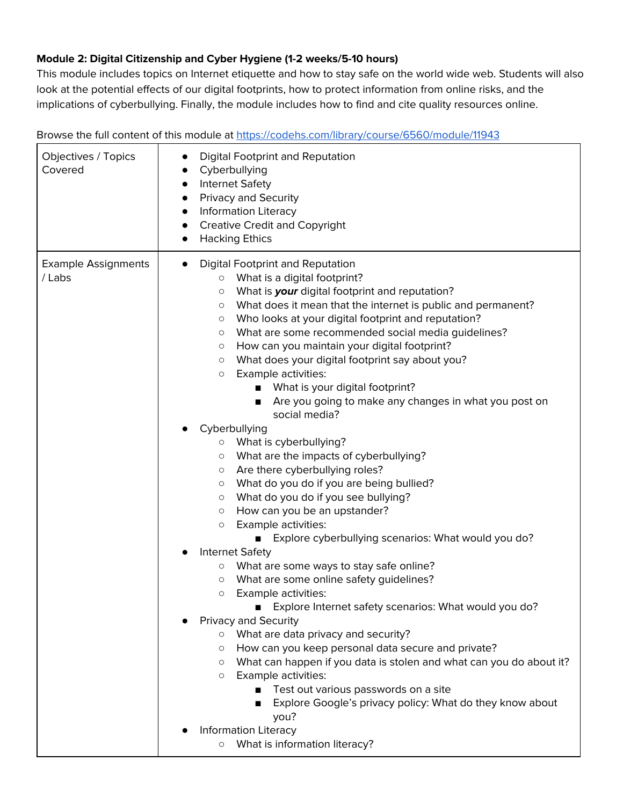## **Module 2: Digital Citizenship and Cyber Hygiene (1-2 weeks/5-10 hours)**

This module includes topics on Internet etiquette and how to stay safe on the world wide web. Students will also look at the potential effects of our digital footprints, how to protect information from online risks, and the implications of cyberbullying. Finally, the module includes how to find and cite quality resources online.

Browse the full content of this module at <https://codehs.com/library/course/6560/module/11943> Objectives / Topics Covered ● Digital Footprint and Reputation ● Cyberbullying ● Internet Safety ● Privacy and Security ● Information Literacy ● Creative Credit and Copyright ● Hacking Ethics Example Assignments / Labs ● Digital Footprint and Reputation ○ What is a digital footprint? ○ What is **your** digital footprint and reputation? ○ What does it mean that the internet is public and permanent? ○ Who looks at your digital footprint and reputation? ○ What are some recommended social media guidelines? ○ How can you maintain your digital footprint? ○ What does your digital footprint say about you? ○ Example activities: ■ What is your digital footprint? ■ Are you going to make any changes in what you post on social media? Cyberbullying ○ What is cyberbullying? ○ What are the impacts of cyberbullying? ○ Are there cyberbullying roles? ○ What do you do if you are being bullied? ○ What do you do if you see bullying? ○ How can you be an upstander? ○ Example activities: ■ Explore cyberbullying scenarios: What would you do? Internet Safety ○ What are some ways to stay safe online? ○ What are some online safety guidelines? ○ Example activities: ■ Explore Internet safety scenarios: What would you do? Privacy and Security ○ What are data privacy and security? ○ How can you keep personal data secure and private? ○ What can happen if you data is stolen and what can you do about it? ○ Example activities: ■ Test out various passwords on a site ■ Explore Google's privacy policy: What do they know about you? **Information Literacy** ○ What is information literacy?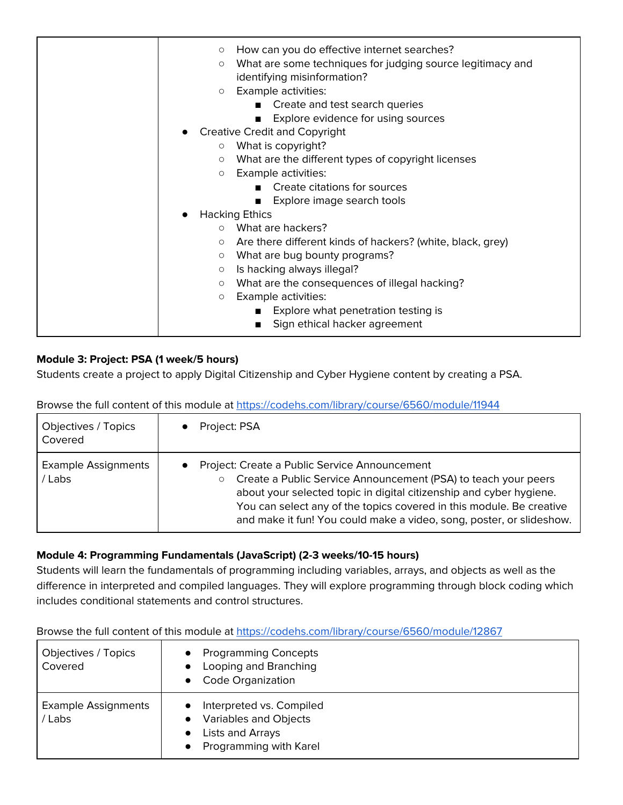| $\circ$<br>$\circ$<br>$\circ$ | How can you do effective internet searches?<br>What are some techniques for judging source legitimacy and<br>identifying misinformation?<br>Example activities: |
|-------------------------------|-----------------------------------------------------------------------------------------------------------------------------------------------------------------|
|                               | Create and test search queries<br>Explore evidence for using sources<br>$\blacksquare$                                                                          |
|                               | <b>Creative Credit and Copyright</b>                                                                                                                            |
| $\circ$                       | What is copyright?                                                                                                                                              |
| $\circ$                       | What are the different types of copyright licenses                                                                                                              |
| $\circ$                       | Example activities:                                                                                                                                             |
|                               | ■ Create citations for sources                                                                                                                                  |
|                               | Explore image search tools<br>$\mathbf{r}$                                                                                                                      |
|                               | <b>Hacking Ethics</b>                                                                                                                                           |
|                               | ○ What are hackers?                                                                                                                                             |
| $\circ$                       | Are there different kinds of hackers? (white, black, grey)                                                                                                      |
| $\circ$                       | What are bug bounty programs?                                                                                                                                   |
| $\circ$                       | Is hacking always illegal?                                                                                                                                      |
| $\circ$                       | What are the consequences of illegal hacking?                                                                                                                   |
| $\circ$                       | Example activities:                                                                                                                                             |
|                               | Explore what penetration testing is                                                                                                                             |
|                               | Sign ethical hacker agreement                                                                                                                                   |

## **Module 3: Project: PSA (1 week/5 hours)**

Students create a project to apply Digital Citizenship and Cyber Hygiene content by creating a PSA.

Browse the full content of this module at <https://codehs.com/library/course/6560/module/11944>

| Objectives / Topics<br>Covered     | Project: PSA                                                                                                                                                                                                                                                                                                                                                   |
|------------------------------------|----------------------------------------------------------------------------------------------------------------------------------------------------------------------------------------------------------------------------------------------------------------------------------------------------------------------------------------------------------------|
| <b>Example Assignments</b><br>Labs | Project: Create a Public Service Announcement<br>$\bullet$<br>Create a Public Service Announcement (PSA) to teach your peers<br>$\circ$<br>about your selected topic in digital citizenship and cyber hygiene.<br>You can select any of the topics covered in this module. Be creative<br>and make it fun! You could make a video, song, poster, or slideshow. |

#### **Module 4: Programming Fundamentals (JavaScript) (2-3 weeks/10-15 hours)**

Students will learn the fundamentals of programming including variables, arrays, and objects as well as the difference in interpreted and compiled languages. They will explore programming through block coding which includes conditional statements and control structures.

| Objectives / Topics<br>Covered       | <b>Programming Concepts</b><br>Looping and Branching<br><b>Code Organization</b>                       |
|--------------------------------------|--------------------------------------------------------------------------------------------------------|
| <b>Example Assignments</b><br>/ Labs | Interpreted vs. Compiled<br><b>Variables and Objects</b><br>Lists and Arrays<br>Programming with Karel |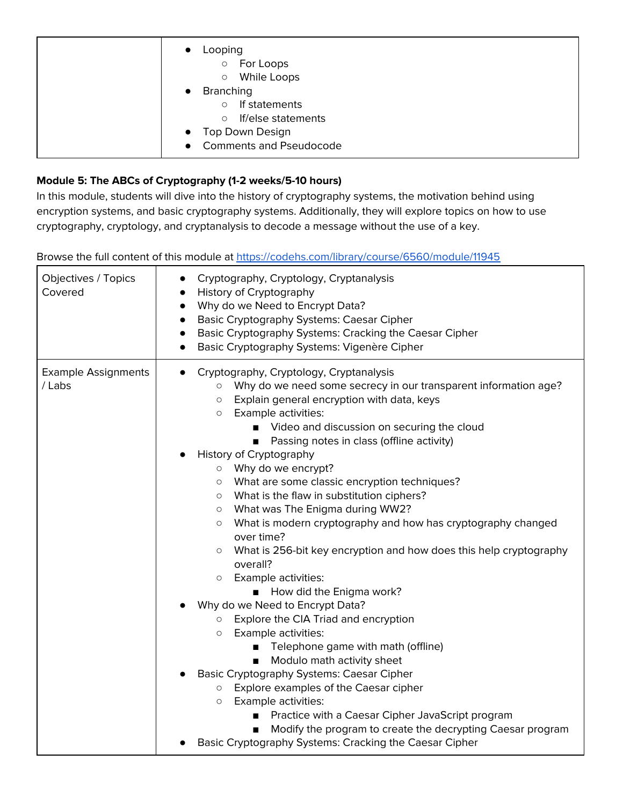| $\bullet$              | Looping<br>$\circ$<br>For Loops<br>While Loops<br>$\circ$                                                                          |
|------------------------|------------------------------------------------------------------------------------------------------------------------------------|
| $\bullet$<br>$\bullet$ | <b>Branching</b><br>If statements<br>$\circ$<br>If/else statements<br>$\circ$<br>Top Down Design<br><b>Comments and Pseudocode</b> |

## **Module 5: The ABCs of Cryptography (1-2 weeks/5-10 hours)**

In this module, students will dive into the history of cryptography systems, the motivation behind using encryption systems, and basic cryptography systems. Additionally, they will explore topics on how to use cryptography, cryptology, and cryptanalysis to decode a message without the use of a key.

| Objectives / Topics<br>Covered       | Cryptography, Cryptology, Cryptanalysis<br>History of Cryptography<br>Why do we Need to Encrypt Data?<br>$\bullet$<br><b>Basic Cryptography Systems: Caesar Cipher</b><br>$\bullet$<br>Basic Cryptography Systems: Cracking the Caesar Cipher<br>$\bullet$<br>Basic Cryptography Systems: Vigenère Cipher<br>$\bullet$                                                                                                                                                                                                                                                                                                                                                                                                                                                                                                                                                                                                                                                                                                                                                                                                                                                                                                                                                                                      |
|--------------------------------------|-------------------------------------------------------------------------------------------------------------------------------------------------------------------------------------------------------------------------------------------------------------------------------------------------------------------------------------------------------------------------------------------------------------------------------------------------------------------------------------------------------------------------------------------------------------------------------------------------------------------------------------------------------------------------------------------------------------------------------------------------------------------------------------------------------------------------------------------------------------------------------------------------------------------------------------------------------------------------------------------------------------------------------------------------------------------------------------------------------------------------------------------------------------------------------------------------------------------------------------------------------------------------------------------------------------|
| <b>Example Assignments</b><br>/ Labs | Cryptography, Cryptology, Cryptanalysis<br>Why do we need some secrecy in our transparent information age?<br>$\circ$<br>Explain general encryption with data, keys<br>$\circ$<br>Example activities:<br>$\circ$<br>Video and discussion on securing the cloud<br>Passing notes in class (offline activity)<br><b>History of Cryptography</b><br>$\circ$ Why do we encrypt?<br>What are some classic encryption techniques?<br>$\circ$<br>What is the flaw in substitution ciphers?<br>$\circ$<br>What was The Enigma during WW2?<br>$\circ$<br>What is modern cryptography and how has cryptography changed<br>$\circ$<br>over time?<br>What is 256-bit key encryption and how does this help cryptography<br>$\circ$<br>overall?<br>Example activities:<br>$\circ$<br>How did the Enigma work?<br>Why do we Need to Encrypt Data?<br>Explore the CIA Triad and encryption<br>$\circ$<br>Example activities:<br>$\circ$<br>Telephone game with math (offline)<br>Modulo math activity sheet<br>Basic Cryptography Systems: Caesar Cipher<br>Explore examples of the Caesar cipher<br>$\circ$<br>Example activities:<br>$\circ$<br>Practice with a Caesar Cipher JavaScript program<br>Modify the program to create the decrypting Caesar program<br>Basic Cryptography Systems: Cracking the Caesar Cipher |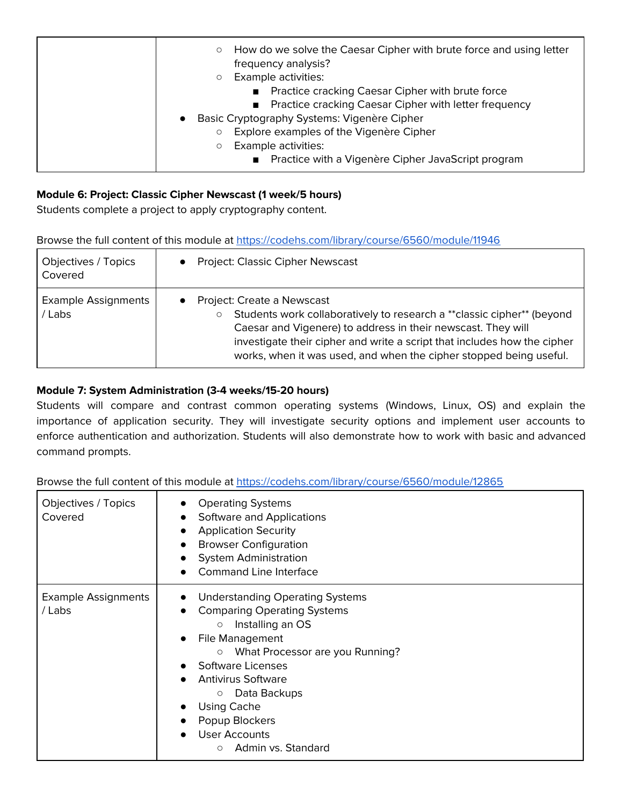| How do we solve the Caesar Cipher with brute force and using letter<br>$\circ$<br>frequency analysis?<br>Example activities:<br>O<br>Practice cracking Caesar Cipher with brute force |
|---------------------------------------------------------------------------------------------------------------------------------------------------------------------------------------|
| Practice cracking Caesar Cipher with letter frequency<br>Basic Cryptography Systems: Vigenère Cipher<br>$\bullet$                                                                     |
| Explore examples of the Vigenère Cipher<br>O<br>Example activities:<br>O<br>Practice with a Vigenère Cipher JavaScript program                                                        |

#### **Module 6: Project: Classic Cipher Newscast (1 week/5 hours)**

Students complete a project to apply cryptography content.

|  | Browse the full content of this module at https://codehs.com/library/course/6560/module/11946 |
|--|-----------------------------------------------------------------------------------------------|
|  |                                                                                               |

| Objectives / Topics<br>Covered       | • Project: Classic Cipher Newscast                                                                                                                                                                                                                                                                                      |
|--------------------------------------|-------------------------------------------------------------------------------------------------------------------------------------------------------------------------------------------------------------------------------------------------------------------------------------------------------------------------|
| <b>Example Assignments</b><br>/ Labs | Project: Create a Newscast<br>Students work collaboratively to research a ** classic cipher** (beyond<br>Caesar and Vigenere) to address in their newscast. They will<br>investigate their cipher and write a script that includes how the cipher<br>works, when it was used, and when the cipher stopped being useful. |

#### **Module 7: System Administration (3-4 weeks/15-20 hours)**

Students will compare and contrast common operating systems (Windows, Linux, OS) and explain the importance of application security. They will investigate security options and implement user accounts to enforce authentication and authorization. Students will also demonstrate how to work with basic and advanced command prompts.

| Objectives / Topics<br>Covered       | <b>Operating Systems</b><br>Software and Applications<br><b>Application Security</b><br><b>Browser Configuration</b><br><b>System Administration</b><br><b>Command Line Interface</b>                                                                                                                                                                            |
|--------------------------------------|------------------------------------------------------------------------------------------------------------------------------------------------------------------------------------------------------------------------------------------------------------------------------------------------------------------------------------------------------------------|
| <b>Example Assignments</b><br>/ Labs | <b>Understanding Operating Systems</b><br>$\bullet$<br><b>Comparing Operating Systems</b><br>Installing an OS<br>$\circ$<br>File Management<br>What Processor are you Running?<br>$\circ$<br>Software Licenses<br><b>Antivirus Software</b><br>Data Backups<br>$\circ$<br><b>Using Cache</b><br>Popup Blockers<br>User Accounts<br>Admin vs. Standard<br>$\circ$ |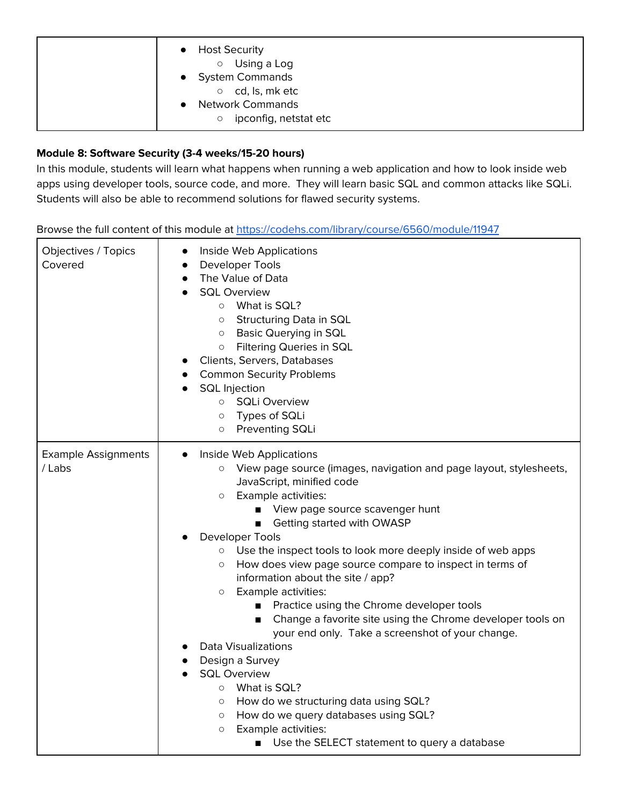| <b>Host Security</b><br>$\bullet$<br>Using a Log<br>$\circ$<br>• System Commands<br>cd, ls, mk etc<br>$\circ$<br><b>Network Commands</b> |
|------------------------------------------------------------------------------------------------------------------------------------------|
| ipconfig, netstat etc<br>$\circ$                                                                                                         |

## **Module 8: Software Security (3-4 weeks/15-20 hours)**

In this module, students will learn what happens when running a web application and how to look inside web apps using developer tools, source code, and more. They will learn basic SQL and common attacks like SQLi. Students will also be able to recommend solutions for flawed security systems.

| Objectives / Topics<br>Covered       | Inside Web Applications<br>$\bullet$<br>Developer Tools<br>$\bullet$<br>The Value of Data<br>$\bullet$<br><b>SQL Overview</b><br>What is SQL?<br>$\circ$<br>Structuring Data in SQL<br>$\circ$<br><b>Basic Querying in SQL</b><br>$\circ$<br>Filtering Queries in SQL<br>$\circ$<br>Clients, Servers, Databases<br><b>Common Security Problems</b><br><b>SQL</b> Injection<br><b>SQLi Overview</b><br>$\circ$<br>Types of SQLi<br>$\circ$<br>Preventing SQLi<br>$\circlearrowright$                                                                                                                                                                                                                                                                                                                                                                                                                                                                                                                  |
|--------------------------------------|------------------------------------------------------------------------------------------------------------------------------------------------------------------------------------------------------------------------------------------------------------------------------------------------------------------------------------------------------------------------------------------------------------------------------------------------------------------------------------------------------------------------------------------------------------------------------------------------------------------------------------------------------------------------------------------------------------------------------------------------------------------------------------------------------------------------------------------------------------------------------------------------------------------------------------------------------------------------------------------------------|
| <b>Example Assignments</b><br>/ Labs | Inside Web Applications<br>View page source (images, navigation and page layout, stylesheets,<br>$\circ$<br>JavaScript, minified code<br>Example activities:<br>$\circ$<br>View page source scavenger hunt<br>Getting started with OWASP<br>$\blacksquare$<br>Developer Tools<br>Use the inspect tools to look more deeply inside of web apps<br>$\circ$<br>How does view page source compare to inspect in terms of<br>$\circlearrowright$<br>information about the site / app?<br>Example activities:<br>$\circ$<br>Practice using the Chrome developer tools<br>п<br>Change a favorite site using the Chrome developer tools on<br>$\blacksquare$<br>your end only. Take a screenshot of your change.<br><b>Data Visualizations</b><br>Design a Survey<br><b>SQL Overview</b><br>What is SQL?<br>$\circ$<br>How do we structuring data using SQL?<br>$\circ$<br>How do we query databases using SQL?<br>$\circ$<br>Example activities:<br>$\circ$<br>Use the SELECT statement to query a database |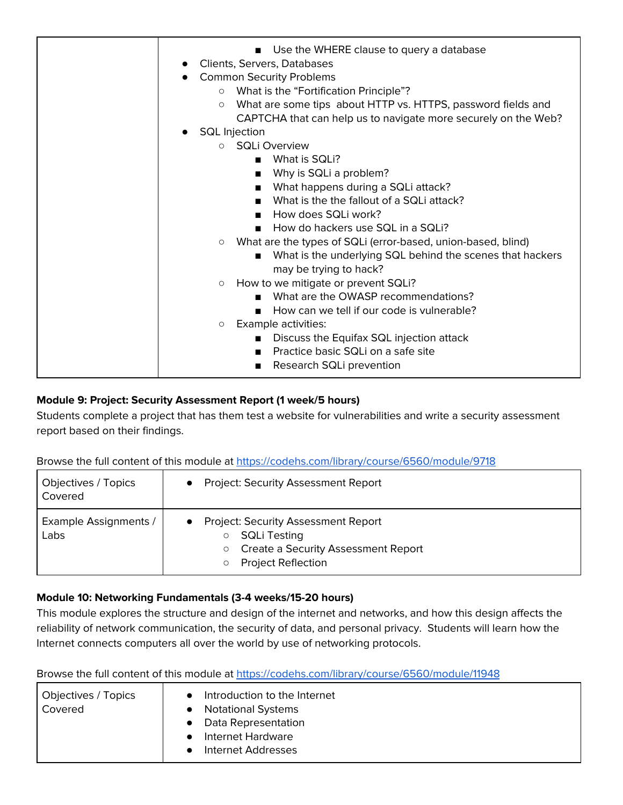| Use the WHERE clause to query a database<br>Clients, Servers, Databases<br><b>Common Security Problems</b><br>What is the "Fortification Principle"?<br>$\circ$<br>What are some tips about HTTP vs. HTTPS, password fields and<br>$\circ$<br>CAPTCHA that can help us to navigate more securely on the Web? |
|--------------------------------------------------------------------------------------------------------------------------------------------------------------------------------------------------------------------------------------------------------------------------------------------------------------|
| <b>SQL Injection</b>                                                                                                                                                                                                                                                                                         |
| $\circ$ SQLi Overview                                                                                                                                                                                                                                                                                        |
| What is SQLi?<br>▬                                                                                                                                                                                                                                                                                           |
| Why is SQLi a problem?<br>п                                                                                                                                                                                                                                                                                  |
| What happens during a SQLi attack?<br>$\blacksquare$                                                                                                                                                                                                                                                         |
| What is the the fallout of a SQLi attack?<br>$\blacksquare$                                                                                                                                                                                                                                                  |
| How does SQLi work?                                                                                                                                                                                                                                                                                          |
| How do hackers use SQL in a SQLI?                                                                                                                                                                                                                                                                            |
| What are the types of SQLi (error-based, union-based, blind)<br>$\circ$                                                                                                                                                                                                                                      |
| What is the underlying SQL behind the scenes that hackers<br>$\blacksquare$                                                                                                                                                                                                                                  |
| may be trying to hack?                                                                                                                                                                                                                                                                                       |
| How to we mitigate or prevent SQLi?<br>$\circ$                                                                                                                                                                                                                                                               |
| What are the OWASP recommendations?                                                                                                                                                                                                                                                                          |
| How can we tell if our code is vulnerable?                                                                                                                                                                                                                                                                   |
| Example activities:<br>$\circ$                                                                                                                                                                                                                                                                               |
| Discuss the Equifax SQL injection attack<br>$\blacksquare$                                                                                                                                                                                                                                                   |
| Practice basic SQLi on a safe site                                                                                                                                                                                                                                                                           |
| Research SQLi prevention                                                                                                                                                                                                                                                                                     |

#### **Module 9: Project: Security Assessment Report (1 week/5 hours)**

Students complete a project that has them test a website for vulnerabilities and write a security assessment report based on their findings.

Browse the full content of this module at <https://codehs.com/library/course/6560/module/9718>

| Objectives / Topics<br>Covered       | <b>Project: Security Assessment Report</b>                                                                                                       |
|--------------------------------------|--------------------------------------------------------------------------------------------------------------------------------------------------|
| <b>Example Assignments /</b><br>Labs | <b>Project: Security Assessment Report</b><br><b>SQLi Testing</b><br>Create a Security Assessment Report<br>$\circ$<br><b>Project Reflection</b> |

## **Module 10: Networking Fundamentals (3-4 weeks/15-20 hours)**

This module explores the structure and design of the internet and networks, and how this design affects the reliability of network communication, the security of data, and personal privacy. Students will learn how the Internet connects computers all over the world by use of networking protocols.

| Objectives / Topics<br>Covered | Introduction to the Internet<br><b>Notational Systems</b><br>Data Representation<br>Internet Hardware<br>Internet Addresses |
|--------------------------------|-----------------------------------------------------------------------------------------------------------------------------|
|--------------------------------|-----------------------------------------------------------------------------------------------------------------------------|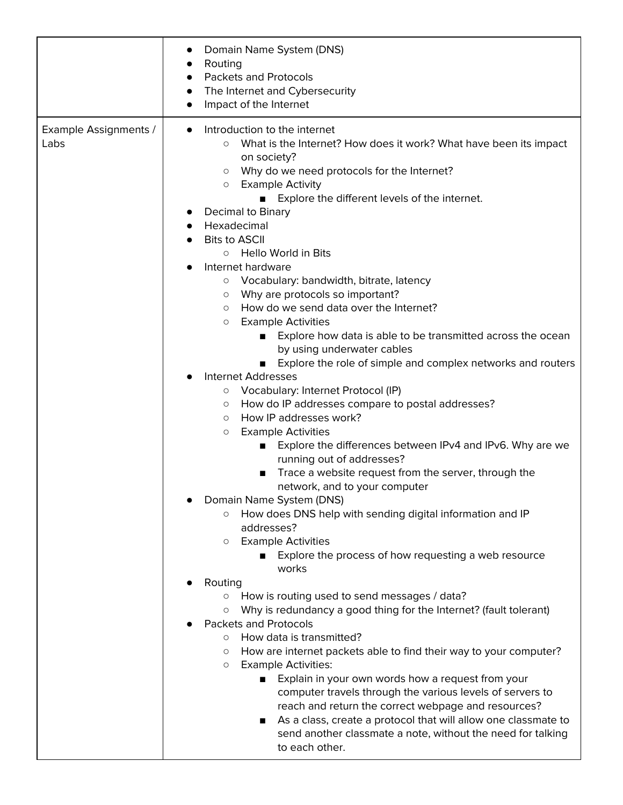|                               | Domain Name System (DNS)<br>$\bullet$<br>Routing<br>$\bullet$<br><b>Packets and Protocols</b><br>$\bullet$<br>The Internet and Cybersecurity<br>$\bullet$<br>Impact of the Internet<br>$\bullet$                                                                                                                                                                                                                                                                                                                                                                                                                                                                                                                                                                                                                                                                                                                                                                                                                                                                                                                                                                                                                |
|-------------------------------|-----------------------------------------------------------------------------------------------------------------------------------------------------------------------------------------------------------------------------------------------------------------------------------------------------------------------------------------------------------------------------------------------------------------------------------------------------------------------------------------------------------------------------------------------------------------------------------------------------------------------------------------------------------------------------------------------------------------------------------------------------------------------------------------------------------------------------------------------------------------------------------------------------------------------------------------------------------------------------------------------------------------------------------------------------------------------------------------------------------------------------------------------------------------------------------------------------------------|
| Example Assignments /<br>Labs | Introduction to the internet<br>$\bullet$<br>What is the Internet? How does it work? What have been its impact<br>$\circ$<br>on society?<br>Why do we need protocols for the Internet?<br>$\circ$<br><b>Example Activity</b><br>$\circ$<br>Explore the different levels of the internet.<br>Decimal to Binary<br>$\bullet$<br>Hexadecimal<br>$\bullet$<br><b>Bits to ASCII</b><br>Hello World in Bits<br>$\circ$<br>Internet hardware<br>Vocabulary: bandwidth, bitrate, latency<br>$\circ$<br>Why are protocols so important?<br>$\circ$<br>How do we send data over the Internet?<br>$\circ$<br><b>Example Activities</b><br>$\circ$<br>Explore how data is able to be transmitted across the ocean<br>by using underwater cables<br>Explore the role of simple and complex networks and routers<br><b>Internet Addresses</b><br>Vocabulary: Internet Protocol (IP)<br>$\circ$<br>How do IP addresses compare to postal addresses?<br>$\circ$<br>How IP addresses work?<br>$\circ$<br><b>Example Activities</b><br>$\circ$<br>Explore the differences between IPv4 and IPv6. Why are we<br>running out of addresses?<br>Trace a website request from the server, through the<br>network, and to your computer |
|                               | Domain Name System (DNS)<br>How does DNS help with sending digital information and IP<br>O<br>addresses?<br><b>Example Activities</b><br>$\circ$<br>■ Explore the process of how requesting a web resource<br>works<br>Routing<br>How is routing used to send messages / data?<br>$\circ$<br>Why is redundancy a good thing for the Internet? (fault tolerant)<br>$\circ$<br><b>Packets and Protocols</b><br>How data is transmitted?<br>$\circ$<br>How are internet packets able to find their way to your computer?<br>$\circ$<br><b>Example Activities:</b><br>$\circ$<br>Explain in your own words how a request from your<br>■<br>computer travels through the various levels of servers to<br>reach and return the correct webpage and resources?<br>As a class, create a protocol that will allow one classmate to<br>send another classmate a note, without the need for talking<br>to each other.                                                                                                                                                                                                                                                                                                      |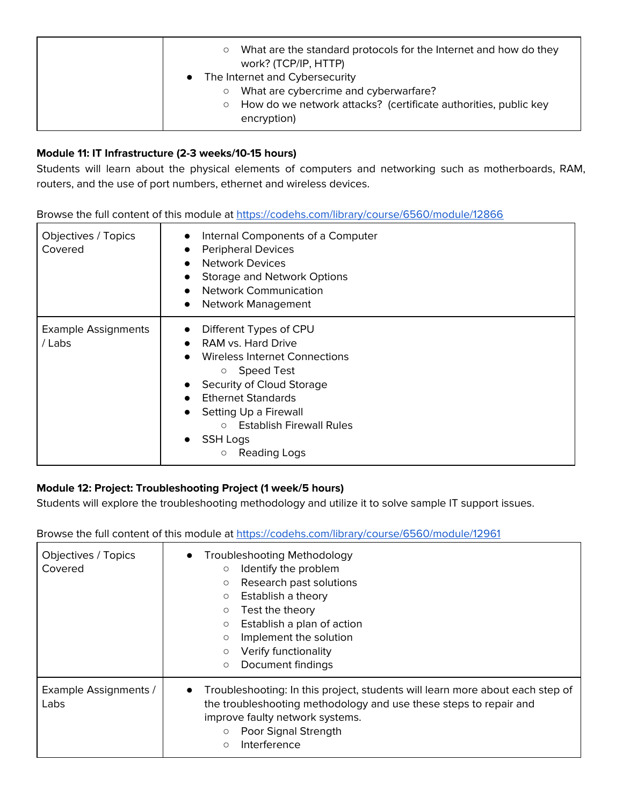| What are the standard protocols for the Internet and how do they<br>О<br>work? (TCP/IP, HTTP)<br>• The Internet and Cybersecurity             |
|-----------------------------------------------------------------------------------------------------------------------------------------------|
| What are cybercrime and cyberwarfare?<br>$\circ$<br>How do we network attacks? (certificate authorities, public key<br>$\circ$<br>encryption) |

#### **Module 11: IT Infrastructure (2-3 weeks/10-15 hours)**

Students will learn about the physical elements of computers and networking such as motherboards, RAM, routers, and the use of port numbers, ethernet and wireless devices.

Browse the full content of this module at <https://codehs.com/library/course/6560/module/12866>

| Objectives / Topics<br>Covered       | Internal Components of a Computer<br><b>Peripheral Devices</b><br><b>Network Devices</b><br>Storage and Network Options<br><b>Network Communication</b><br>$\bullet$<br>Network Management<br>$\bullet$                                                                                                                     |
|--------------------------------------|-----------------------------------------------------------------------------------------------------------------------------------------------------------------------------------------------------------------------------------------------------------------------------------------------------------------------------|
| <b>Example Assignments</b><br>/ Labs | Different Types of CPU<br>$\bullet$<br>RAM vs. Hard Drive<br>Wireless Internet Connections<br>Speed Test<br>$\circ$<br>Security of Cloud Storage<br><b>Ethernet Standards</b><br>Setting Up a Firewall<br><b>Establish Firewall Rules</b><br>$\circ$<br><b>SSH Logs</b><br>$\bullet$<br>Reading Logs<br>$\circlearrowright$ |

## **Module 12: Project: Troubleshooting Project (1 week/5 hours)**

Students will explore the troubleshooting methodology and utilize it to solve sample IT support issues.

| Objectives / Topics<br>Covered | <b>Troubleshooting Methodology</b><br>Identify the problem<br>$\circ$<br>Research past solutions<br>$\circ$<br>Establish a theory<br>O<br>Test the theory<br>$\circ$<br>Establish a plan of action<br>$\circ$<br>Implement the solution<br>$\circ$<br>Verify functionality<br>О<br>Document findings<br>$\circ$ |  |
|--------------------------------|-----------------------------------------------------------------------------------------------------------------------------------------------------------------------------------------------------------------------------------------------------------------------------------------------------------------|--|
| Example Assignments /<br>Labs  | Troubleshooting: In this project, students will learn more about each step of<br>the troubleshooting methodology and use these steps to repair and<br>improve faulty network systems.<br>Poor Signal Strength<br>$\circ$<br>Interference<br>$\circ$                                                             |  |